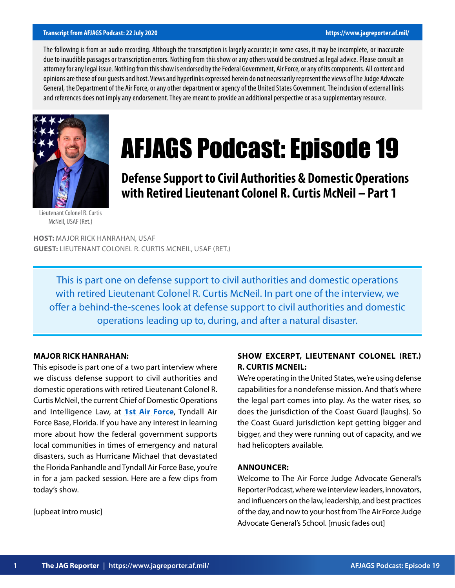#### **Transcript from AFJAGS Podcast: 22 July 2020 https://www.jagreporter.af.mil/**

The following is from an audio recording. Although the transcription is largely accurate; in some cases, it may be incomplete, or inaccurate due to inaudible passages or transcription errors. Nothing from this show or any others would be construed as legal advice. Please consult an attorney for any legal issue. Nothing from this show is endorsed by the Federal Government, Air Force, or any of its components. All content and opinions are those of our guests and host. Views and hyperlinks expressed herein do not necessarily represent the views of The Judge Advocate General, the Department of the Air Force, or any other department or agency of the United States Government. The inclusion of external links and references does not imply any endorsement. They are meant to provide an additional perspective or as a supplementary resource.



# AFJAGS Podcast: Episode 19

**Defense Support to Civil Authorities & Domestic Operations with Retired Lieutenant Colonel R. Curtis McNeil – Part 1**

Lieutenant Colonel R. Curtis McNeil, USAF (Ret.)

**HOST:** MAJOR RICK HANRAHAN, USAF **GUEST:** LIEUTENANT COLONEL R. CURTIS MCNEIL, USAF (RET.)

This is part one on defense support to civil authorities and domestic operations with retired Lieutenant Colonel R. Curtis McNeil. In part one of the interview, we offer a behind-the-scenes look at defense support to civil authorities and domestic operations leading up to, during, and after a natural disaster.

## **MAJOR RICK HANRAHAN:**

This episode is part one of a two part interview where we discuss defense support to civil authorities and domestic operations with retired Lieutenant Colonel R. Curtis McNeil, the current Chief of Domestic Operations and Intelligence Law, at **[1st Air Force](https://www.1af.acc.af.mil/Home/Welcome/)**, Tyndall Air Force Base, Florida. If you have any interest in learning more about how the federal government supports local communities in times of emergency and natural disasters, such as Hurricane Michael that devastated the Florida Panhandle and Tyndall Air Force Base, you're in for a jam packed session. Here are a few clips from today's show.

[upbeat intro music]

# **SHOW EXCERPT, LIEUTENANT COLONEL (RET.) R. CURTIS MCNEIL:**

We're operating in the United States, we're using defense capabilities for a nondefense mission. And that's where the legal part comes into play. As the water rises, so does the jurisdiction of the Coast Guard [laughs]. So the Coast Guard jurisdiction kept getting bigger and bigger, and they were running out of capacity, and we had helicopters available.

#### **ANNOUNCER:**

Welcome to The Air Force Judge Advocate General's Reporter Podcast, where we interview leaders, innovators, and influencers on the law, leadership, and best practices of the day, and now to your host from The Air Force Judge Advocate General's School. [music fades out]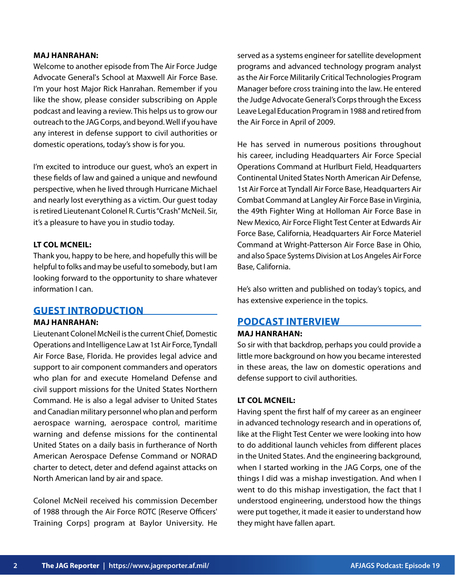#### **MAJ HANRAHAN:**

Welcome to another episode from The Air Force Judge Advocate General's School at Maxwell Air Force Base. I'm your host Major Rick Hanrahan. Remember if you like the show, please consider subscribing on Apple podcast and leaving a review. This helps us to grow our outreach to the JAG Corps, and beyond. Well if you have any interest in defense support to civil authorities or domestic operations, today's show is for you.

I'm excited to introduce our guest, who's an expert in these fields of law and gained a unique and newfound perspective, when he lived through Hurricane Michael and nearly lost everything as a victim. Our guest today is retired Lieutenant Colonel R. Curtis "Crash" McNeil. Sir, it's a pleasure to have you in studio today.

## **LT COL MCNEIL:**

Thank you, happy to be here, and hopefully this will be helpful to folks and may be useful to somebody, but I am looking forward to the opportunity to share whatever information I can.

# **GUEST INTRODUCTION**

## **MAJ HANRAHAN:**

Lieutenant Colonel McNeil is the current Chief, Domestic Operations and Intelligence Law at 1st Air Force, Tyndall Air Force Base, Florida. He provides legal advice and support to air component commanders and operators who plan for and execute Homeland Defense and civil support missions for the United States Northern Command. He is also a legal adviser to United States and Canadian military personnel who plan and perform aerospace warning, aerospace control, maritime warning and defense missions for the continental United States on a daily basis in furtherance of North American Aerospace Defense Command or NORAD charter to detect, deter and defend against attacks on North American land by air and space.

Colonel McNeil received his commission December of 1988 through the Air Force ROTC [Reserve Officers' Training Corps] program at Baylor University. He

served as a systems engineer for satellite development programs and advanced technology program analyst as the Air Force Militarily Critical Technologies Program Manager before cross training into the law. He entered the Judge Advocate General's Corps through the Excess Leave Legal Education Program in 1988 and retired from the Air Force in April of 2009.

He has served in numerous positions throughout his career, including Headquarters Air Force Special Operations Command at Hurlburt Field, Headquarters Continental United States North American Air Defense, 1st Air Force at Tyndall Air Force Base, Headquarters Air Combat Command at Langley Air Force Base in Virginia, the 49th Fighter Wing at Holloman Air Force Base in New Mexico, Air Force Flight Test Center at Edwards Air Force Base, California, Headquarters Air Force Materiel Command at Wright-Patterson Air Force Base in Ohio, and also Space Systems Division at Los Angeles Air Force Base, California.

He's also written and published on today's topics, and has extensive experience in the topics.

# **PODCAST INTERVIEW**

#### **MAJ HANRAHAN:**

So sir with that backdrop, perhaps you could provide a little more background on how you became interested in these areas, the law on domestic operations and defense support to civil authorities.

## **LT COL MCNEIL:**

Having spent the first half of my career as an engineer in advanced technology research and in operations of, like at the Flight Test Center we were looking into how to do additional launch vehicles from different places in the United States. And the engineering background, when I started working in the JAG Corps, one of the things I did was a mishap investigation. And when I went to do this mishap investigation, the fact that I understood engineering, understood how the things were put together, it made it easier to understand how they might have fallen apart.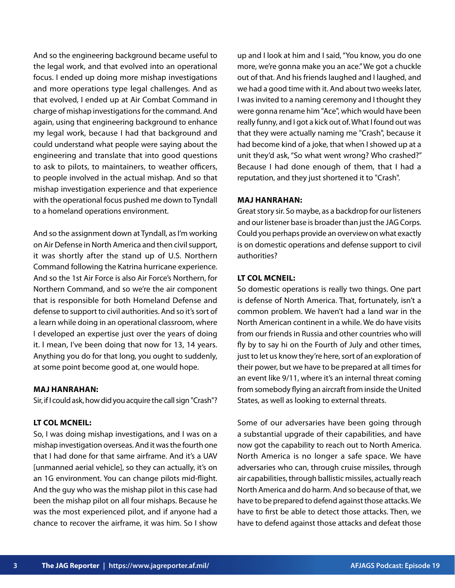And so the engineering background became useful to the legal work, and that evolved into an operational focus. I ended up doing more mishap investigations and more operations type legal challenges. And as that evolved, I ended up at Air Combat Command in charge of mishap investigations for the command. And again, using that engineering background to enhance my legal work, because I had that background and could understand what people were saying about the engineering and translate that into good questions to ask to pilots, to maintainers, to weather officers, to people involved in the actual mishap. And so that mishap investigation experience and that experience with the operational focus pushed me down to Tyndall to a homeland operations environment.

And so the assignment down at Tyndall, as I'm working on Air Defense in North America and then civil support, it was shortly after the stand up of U.S. Northern Command following the Katrina hurricane experience. And so the 1st Air Force is also Air Force's Northern, for Northern Command, and so we're the air component that is responsible for both Homeland Defense and defense to support to civil authorities. And so it's sort of a learn while doing in an operational classroom, where I developed an expertise just over the years of doing it. I mean, I've been doing that now for 13, 14 years. Anything you do for that long, you ought to suddenly, at some point become good at, one would hope.

## **MAJ HANRAHAN:**

Sir, if I could ask, how did you acquire the call sign "Crash"?

#### **LT COL MCNEIL:**

So, I was doing mishap investigations, and I was on a mishap investigation overseas. And it was the fourth one that I had done for that same airframe. And it's a UAV [unmanned aerial vehicle], so they can actually, it's on an 1G environment. You can change pilots mid-flight. And the guy who was the mishap pilot in this case had been the mishap pilot on all four mishaps. Because he was the most experienced pilot, and if anyone had a chance to recover the airframe, it was him. So I show

up and I look at him and I said, "You know, you do one more, we're gonna make you an ace." We got a chuckle out of that. And his friends laughed and I laughed, and we had a good time with it. And about two weeks later, I was invited to a naming ceremony and I thought they were gonna rename him "Ace", which would have been really funny, and I got a kick out of. What I found out was that they were actually naming me "Crash", because it had become kind of a joke, that when I showed up at a unit they'd ask, "So what went wrong? Who crashed?" Because I had done enough of them, that I had a reputation, and they just shortened it to "Crash".

## **MAJ HANRAHAN:**

Great story sir. So maybe, as a backdrop for our listeners and our listener base is broader than just the JAG Corps. Could you perhaps provide an overview on what exactly is on domestic operations and defense support to civil authorities?

## **LT COL MCNEIL:**

So domestic operations is really two things. One part is defense of North America. That, fortunately, isn't a common problem. We haven't had a land war in the North American continent in a while. We do have visits from our friends in Russia and other countries who will fly by to say hi on the Fourth of July and other times, just to let us know they're here, sort of an exploration of their power, but we have to be prepared at all times for an event like 9/11, where it's an internal threat coming from somebody flying an aircraft from inside the United States, as well as looking to external threats.

Some of our adversaries have been going through a substantial upgrade of their capabilities, and have now got the capability to reach out to North America. North America is no longer a safe space. We have adversaries who can, through cruise missiles, through air capabilities, through ballistic missiles, actually reach North America and do harm. And so because of that, we have to be prepared to defend against those attacks. We have to first be able to detect those attacks. Then, we have to defend against those attacks and defeat those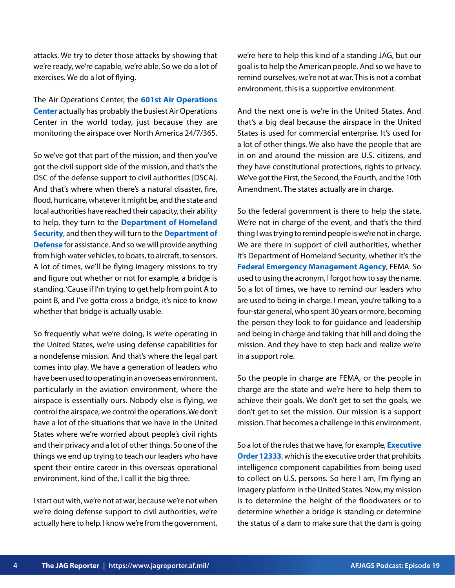attacks. We try to deter those attacks by showing that we're ready, we're capable, we're able. So we do a lot of exercises. We do a lot of flying.

The Air Operations Center, the **[601st Air Operations](https://www.1af.acc.af.mil/Library/Fact-Sheets/Display/Article/289621/601st-air-operations-center/) [Center](https://www.1af.acc.af.mil/Library/Fact-Sheets/Display/Article/289621/601st-air-operations-center/)** actually has probably the busiest Air Operations Center in the world today, just because they are monitoring the airspace over North America 24/7/365.

So we've got that part of the mission, and then you've got the civil support side of the mission, and that's the DSC of the defense support to civil authorities [DSCA]. And that's where when there's a natural disaster, fire, flood, hurricane, whatever it might be, and the state and local authorities have reached their capacity, their ability to help, they turn to the **[Department of Homeland](https://www.dhs.gov/) [Security](https://www.dhs.gov/)**, and then they will turn to the **[Department of](https://www.defense.gov/) [Defense](https://www.defense.gov/)** for assistance. And so we will provide anything from high water vehicles, to boats, to aircraft, to sensors. A lot of times, we'll be flying imagery missions to try and figure out whether or not for example, a bridge is standing. 'Cause if I'm trying to get help from point A to point B, and I've gotta cross a bridge, it's nice to know whether that bridge is actually usable.

So frequently what we're doing, is we're operating in the United States, we're using defense capabilities for a nondefense mission. And that's where the legal part comes into play. We have a generation of leaders who have been used to operating in an overseas environment, particularly in the aviation environment, where the airspace is essentially ours. Nobody else is flying, we control the airspace, we control the operations. We don't have a lot of the situations that we have in the United States where we're worried about people's civil rights and their privacy and a lot of other things. So one of the things we end up trying to teach our leaders who have spent their entire career in this overseas operational environment, kind of the, I call it the big three.

I start out with, we're not at war, because we're not when we're doing defense support to civil authorities, we're actually here to help. I know we're from the government, we're here to help this kind of a standing JAG, but our goal is to help the American people. And so we have to remind ourselves, we're not at war. This is not a combat environment, this is a supportive environment.

And the next one is we're in the United States. And that's a big deal because the airspace in the United States is used for commercial enterprise. It's used for a lot of other things. We also have the people that are in on and around the mission are U.S. citizens, and they have constitutional protections, rights to privacy. We've got the First, the Second, the Fourth, and the 10th Amendment. The states actually are in charge.

So the federal government is there to help the state. We're not in charge of the event, and that's the third thing I was trying to remind people is we're not in charge. We are there in support of civil authorities, whether it's Department of Homeland Security, whether it's the **[Federal Emergency Management Agency](https://www.fema.gov/)**, FEMA. So used to using the acronym, I forgot how to say the name. So a lot of times, we have to remind our leaders who are used to being in charge. I mean, you're talking to a four-star general, who spent 30 years or more, becoming the person they look to for guidance and leadership and being in charge and taking that hill and doing the mission. And they have to step back and realize we're in a support role.

So the people in charge are FEMA, or the people in charge are the state and we're here to help them to achieve their goals. We don't get to set the goals, we don't get to set the mission. Our mission is a support mission. That becomes a challenge in this environment.

So a lot of the rules that we have, for example, **[Executive](https://dpcld.defense.gov/Portals/49/Documents/Civil/eo-12333-2008.pdf) [Order 12333](https://dpcld.defense.gov/Portals/49/Documents/Civil/eo-12333-2008.pdf)**, which is the executive order that prohibits intelligence component capabilities from being used to collect on U.S. persons. So here I am, I'm flying an imagery platform in the United States. Now, my mission is to determine the height of the floodwaters or to determine whether a bridge is standing or determine the status of a dam to make sure that the dam is going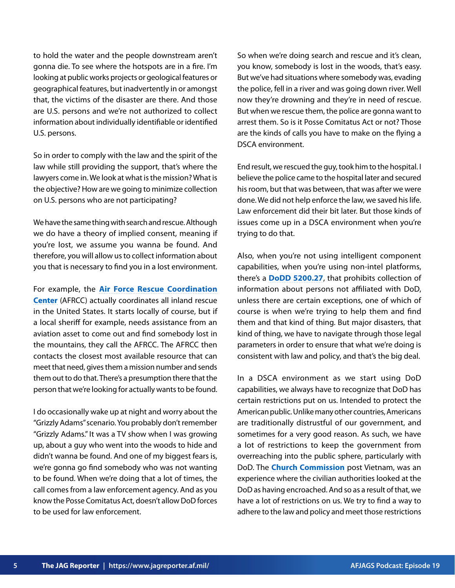to hold the water and the people downstream aren't gonna die. To see where the hotspots are in a fire. I'm looking at public works projects or geological features or geographical features, but inadvertently in or amongst that, the victims of the disaster are there. And those are U.S. persons and we're not authorized to collect information about individually identifiable or identified U.S. persons.

So in order to comply with the law and the spirit of the law while still providing the support, that's where the lawyers come in. We look at what is the mission? What is the objective? How are we going to minimize collection on U.S. persons who are not participating?

We have the same thing with search and rescue. Although we do have a theory of implied consent, meaning if you're lost, we assume you wanna be found. And therefore, you will allow us to collect information about you that is necessary to find you in a lost environment.

For example, the **[Air Force Rescue Coordination](https://www.1af.acc.af.mil/Units/AFRCC.aspx) [Center](https://www.1af.acc.af.mil/Units/AFRCC.aspx)** (AFRCC) actually coordinates all inland rescue in the United States. It starts locally of course, but if a local sheriff for example, needs assistance from an aviation asset to come out and find somebody lost in the mountains, they call the AFRCC. The AFRCC then contacts the closest most available resource that can meet that need, gives them a mission number and sends them out to do that. There's a presumption there that the person that we're looking for actually wants to be found.

I do occasionally wake up at night and worry about the "Grizzly Adams" scenario. You probably don't remember "Grizzly Adams." It was a TV show when I was growing up, about a guy who went into the woods to hide and didn't wanna be found. And one of my biggest fears is, we're gonna go find somebody who was not wanting to be found. When we're doing that a lot of times, the call comes from a law enforcement agency. And as you know the Posse Comitatus Act, doesn't allow DoD forces to be used for law enforcement.

So when we're doing search and rescue and it's clean, you know, somebody is lost in the woods, that's easy. But we've had situations where somebody was, evading the police, fell in a river and was going down river. Well now they're drowning and they're in need of rescue. But when we rescue them, the police are gonna want to arrest them. So is it Posse Comitatus Act or not? Those are the kinds of calls you have to make on the flying a DSCA environment.

End result, we rescued the guy, took him to the hospital. I believe the police came to the hospital later and secured his room, but that was between, that was after we were done. We did not help enforce the law, we saved his life. Law enforcement did their bit later. But those kinds of issues come up in a DSCA environment when you're trying to do that.

Also, when you're not using intelligent component capabilities, when you're using non-intel platforms, there's a **[DoDD 5200.27](https://www.esd.whs.mil/Portals/54/Documents/DD/issuances/dodd/520027p.pdf)**, that prohibits collection of information about persons not affiliated with DoD, unless there are certain exceptions, one of which of course is when we're trying to help them and find them and that kind of thing. But major disasters, that kind of thing, we have to navigate through those legal parameters in order to ensure that what we're doing is consistent with law and policy, and that's the big deal.

In a DSCA environment as we start using DoD capabilities, we always have to recognize that DoD has certain restrictions put on us. Intended to protect the American public. Unlike many other countries, Americans are traditionally distrustful of our government, and sometimes for a very good reason. As such, we have a lot of restrictions to keep the government from overreaching into the public sphere, particularly with DoD. The **[Church Commission](https://www.senate.gov/about/powers-procedures/investigations/church-committee.htm)** post Vietnam, was an experience where the civilian authorities looked at the DoD as having encroached. And so as a result of that, we have a lot of restrictions on us. We try to find a way to adhere to the law and policy and meet those restrictions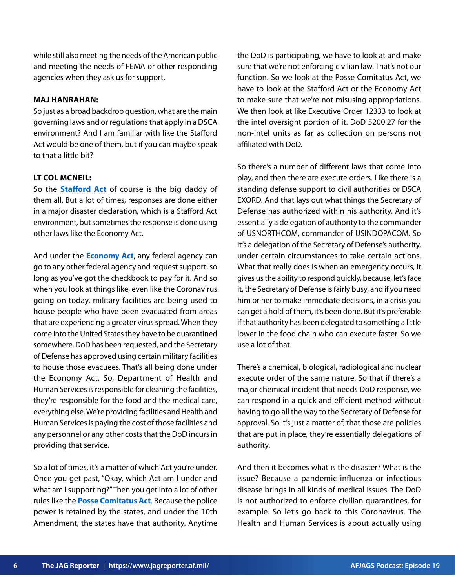while still also meeting the needs of the American public and meeting the needs of FEMA or other responding agencies when they ask us for support.

#### **MAJ HANRAHAN:**

So just as a broad backdrop question, what are the main governing laws and or regulations that apply in a DSCA environment? And I am familiar with like the Stafford Act would be one of them, but if you can maybe speak to that a little bit?

## **LT COL MCNEIL:**

So the **[Stafford Act](https://www.fema.gov/disaster/stafford-act)** of course is the big daddy of them all. But a lot of times, responses are done either in a major disaster declaration, which is a Stafford Act environment, but sometimes the response is done using other laws like the Economy Act.

And under the **[Economy Act](https://www.gc.noaa.gov/documents/mou-economyact.pdf)**, any federal agency can go to any other federal agency and request support, so long as you've got the checkbook to pay for it. And so when you look at things like, even like the Coronavirus going on today, military facilities are being used to house people who have been evacuated from areas that are experiencing a greater virus spread. When they come into the United States they have to be quarantined somewhere. DoD has been requested, and the Secretary of Defense has approved using certain military facilities to house those evacuees. That's all being done under the Economy Act. So, Department of Health and Human Services is responsible for cleaning the facilities, they're responsible for the food and the medical care, everything else. We're providing facilities and Health and Human Services is paying the cost of those facilities and any personnel or any other costs that the DoD incurs in providing that service.

So a lot of times, it's a matter of which Act you're under. Once you get past, "Okay, which Act am I under and what am I supporting?" Then you get into a lot of other rules like the **[Posse Comitatus Act](https://uscode.house.gov/view.xhtml?req=(title:18%20section:1385%20edition:prelim))**. Because the police power is retained by the states, and under the 10th Amendment, the states have that authority. Anytime the DoD is participating, we have to look at and make sure that we're not enforcing civilian law. That's not our function. So we look at the Posse Comitatus Act, we have to look at the Stafford Act or the Economy Act to make sure that we're not misusing appropriations. We then look at like Executive Order 12333 to look at the intel oversight portion of it. DoD 5200.27 for the non-intel units as far as collection on persons not affiliated with DoD.

So there's a number of different laws that come into play, and then there are execute orders. Like there is a standing defense support to civil authorities or DSCA EXORD. And that lays out what things the Secretary of Defense has authorized within his authority. And it's essentially a delegation of authority to the commander of USNORTHCOM, commander of USINDOPACOM. So it's a delegation of the Secretary of Defense's authority, under certain circumstances to take certain actions. What that really does is when an emergency occurs, it gives us the ability to respond quickly, because, let's face it, the Secretary of Defense is fairly busy, and if you need him or her to make immediate decisions, in a crisis you can get a hold of them, it's been done. But it's preferable if that authority has been delegated to something a little lower in the food chain who can execute faster. So we use a lot of that.

There's a chemical, biological, radiological and nuclear execute order of the same nature. So that if there's a major chemical incident that needs DoD response, we can respond in a quick and efficient method without having to go all the way to the Secretary of Defense for approval. So it's just a matter of, that those are policies that are put in place, they're essentially delegations of authority.

And then it becomes what is the disaster? What is the issue? Because a pandemic influenza or infectious disease brings in all kinds of medical issues. The DoD is not authorized to enforce civilian quarantines, for example. So let's go back to this Coronavirus. The Health and Human Services is about actually using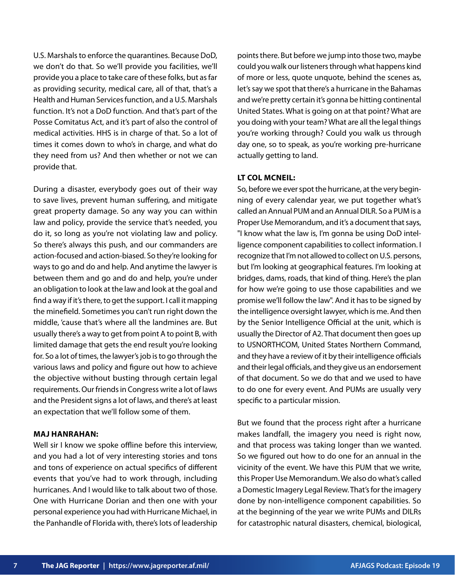U.S. Marshals to enforce the quarantines. Because DoD, we don't do that. So we'll provide you facilities, we'll provide you a place to take care of these folks, but as far as providing security, medical care, all of that, that's a Health and Human Services function, and a U.S. Marshals function. It's not a DoD function. And that's part of the Posse Comitatus Act, and it's part of also the control of medical activities. HHS is in charge of that. So a lot of times it comes down to who's in charge, and what do they need from us? And then whether or not we can provide that.

During a disaster, everybody goes out of their way to save lives, prevent human suffering, and mitigate great property damage. So any way you can within law and policy, provide the service that's needed, you do it, so long as you're not violating law and policy. So there's always this push, and our commanders are action-focused and action-biased. So they're looking for ways to go and do and help. And anytime the lawyer is between them and go and do and help, you're under an obligation to look at the law and look at the goal and find a way if it's there, to get the support. I call it mapping the minefield. Sometimes you can't run right down the middle, 'cause that's where all the landmines are. But usually there's a way to get from point A to point B, with limited damage that gets the end result you're looking for. So a lot of times, the lawyer's job is to go through the various laws and policy and figure out how to achieve the objective without busting through certain legal requirements. Our friends in Congress write a lot of laws and the President signs a lot of laws, and there's at least an expectation that we'll follow some of them.

## **MAJ HANRAHAN:**

Well sir I know we spoke offline before this interview, and you had a lot of very interesting stories and tons and tons of experience on actual specifics of different events that you've had to work through, including hurricanes. And I would like to talk about two of those. One with Hurricane Dorian and then one with your personal experience you had with Hurricane Michael, in the Panhandle of Florida with, there's lots of leadership

points there. But before we jump into those two, maybe could you walk our listeners through what happens kind of more or less, quote unquote, behind the scenes as, let's say we spot that there's a hurricane in the Bahamas and we're pretty certain it's gonna be hitting continental United States. What is going on at that point? What are you doing with your team? What are all the legal things you're working through? Could you walk us through day one, so to speak, as you're working pre-hurricane actually getting to land.

## **LT COL MCNEIL:**

So, before we ever spot the hurricane, at the very beginning of every calendar year, we put together what's called an Annual PUM and an Annual DILR. So a PUM is a Proper Use Memorandum, and it's a document that says, "I know what the law is, I'm gonna be using DoD intelligence component capabilities to collect information. I recognize that I'm not allowed to collect on U.S. persons, but I'm looking at geographical features. I'm looking at bridges, dams, roads, that kind of thing. Here's the plan for how we're going to use those capabilities and we promise we'll follow the law". And it has to be signed by the intelligence oversight lawyer, which is me. And then by the Senior Intelligence Official at the unit, which is usually the Director of A2. That document then goes up to USNORTHCOM, United States Northern Command, and they have a review of it by their intelligence officials and their legal officials, and they give us an endorsement of that document. So we do that and we used to have to do one for every event. And PUMs are usually very specific to a particular mission.

But we found that the process right after a hurricane makes landfall, the imagery you need is right now, and that process was taking longer than we wanted. So we figured out how to do one for an annual in the vicinity of the event. We have this PUM that we write, this Proper Use Memorandum. We also do what's called a Domestic Imagery Legal Review. That's for the imagery done by non-intelligence component capabilities. So at the beginning of the year we write PUMs and DILRs for catastrophic natural disasters, chemical, biological,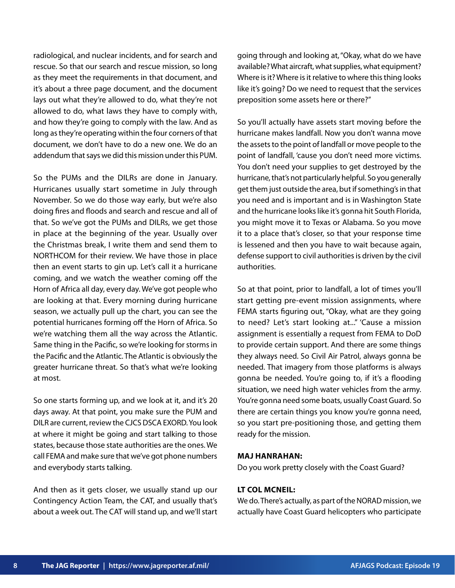radiological, and nuclear incidents, and for search and rescue. So that our search and rescue mission, so long as they meet the requirements in that document, and it's about a three page document, and the document lays out what they're allowed to do, what they're not allowed to do, what laws they have to comply with, and how they're going to comply with the law. And as long as they're operating within the four corners of that document, we don't have to do a new one. We do an addendum that says we did this mission under this PUM.

So the PUMs and the DILRs are done in January. Hurricanes usually start sometime in July through November. So we do those way early, but we're also doing fires and floods and search and rescue and all of that. So we've got the PUMs and DILRs, we get those in place at the beginning of the year. Usually over the Christmas break, I write them and send them to NORTHCOM for their review. We have those in place then an event starts to gin up. Let's call it a hurricane coming, and we watch the weather coming off the Horn of Africa all day, every day. We've got people who are looking at that. Every morning during hurricane season, we actually pull up the chart, you can see the potential hurricanes forming off the Horn of Africa. So we're watching them all the way across the Atlantic. Same thing in the Pacific, so we're looking for storms in the Pacific and the Atlantic. The Atlantic is obviously the greater hurricane threat. So that's what we're looking at most.

So one starts forming up, and we look at it, and it's 20 days away. At that point, you make sure the PUM and DILR are current, review the CJCS DSCA EXORD. You look at where it might be going and start talking to those states, because those state authorities are the ones. We call FEMA and make sure that we've got phone numbers and everybody starts talking.

And then as it gets closer, we usually stand up our Contingency Action Team, the CAT, and usually that's about a week out. The CAT will stand up, and we'll start going through and looking at, "Okay, what do we have available? What aircraft, what supplies, what equipment? Where is it? Where is it relative to where this thing looks like it's going? Do we need to request that the services preposition some assets here or there?"

So you'll actually have assets start moving before the hurricane makes landfall. Now you don't wanna move the assets to the point of landfall or move people to the point of landfall, 'cause you don't need more victims. You don't need your supplies to get destroyed by the hurricane, that's not particularly helpful. So you generally get them just outside the area, but if something's in that you need and is important and is in Washington State and the hurricane looks like it's gonna hit South Florida, you might move it to Texas or Alabama. So you move it to a place that's closer, so that your response time is lessened and then you have to wait because again, defense support to civil authorities is driven by the civil authorities.

So at that point, prior to landfall, a lot of times you'll start getting pre-event mission assignments, where FEMA starts figuring out, "Okay, what are they going to need? Let's start looking at..." 'Cause a mission assignment is essentially a request from FEMA to DoD to provide certain support. And there are some things they always need. So Civil Air Patrol, always gonna be needed. That imagery from those platforms is always gonna be needed. You're going to, if it's a flooding situation, we need high water vehicles from the army. You're gonna need some boats, usually Coast Guard. So there are certain things you know you're gonna need, so you start pre-positioning those, and getting them ready for the mission.

#### **MAJ HANRAHAN:**

Do you work pretty closely with the Coast Guard?

## **LT COL MCNEIL:**

We do. There's actually, as part of the NORAD mission, we actually have Coast Guard helicopters who participate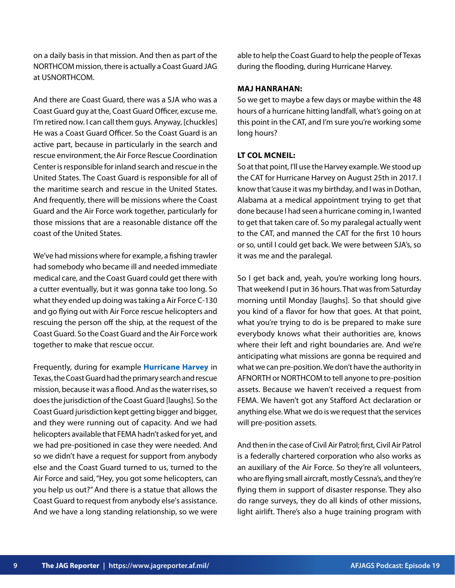on a daily basis in that mission. And then as part of the NORTHCOM mission, there is actually a Coast Guard JAG at USNORTHCOM.

And there are Coast Guard, there was a SJA who was a Coast Guard guy at the, Coast Guard Officer, excuse me. I'm retired now. I can call them guys. Anyway, [chuckles] He was a Coast Guard Officer. So the Coast Guard is an active part, because in particularly in the search and rescue environment, the Air Force Rescue Coordination Center is responsible for inland search and rescue in the United States. The Coast Guard is responsible for all of the maritime search and rescue in the United States. And frequently, there will be missions where the Coast Guard and the Air Force work together, particularly for those missions that are a reasonable distance off the coast of the United States.

We've had missions where for example, a fishing trawler had somebody who became ill and needed immediate medical care, and the Coast Guard could get there with a cutter eventually, but it was gonna take too long. So what they ended up doing was taking a Air Force C-130 and go flying out with Air Force rescue helicopters and rescuing the person off the ship, at the request of the Coast Guard. So the Coast Guard and the Air Force work together to make that rescue occur.

Frequently, during for example **[Hurricane Harvey](https://www.weather.gov/hgx/hurricaneharvey)** in Texas, the Coast Guard had the primary search and rescue mission, because it was a flood. And as the water rises, so does the jurisdiction of the Coast Guard [laughs]. So the Coast Guard jurisdiction kept getting bigger and bigger, and they were running out of capacity. And we had helicopters available that FEMA hadn't asked for yet, and we had pre-positioned in case they were needed. And so we didn't have a request for support from anybody else and the Coast Guard turned to us, turned to the Air Force and said, "Hey, you got some helicopters, can you help us out?" And there is a statue that allows the Coast Guard to request from anybody else's assistance. And we have a long standing relationship, so we were able to help the Coast Guard to help the people of Texas during the flooding, during Hurricane Harvey.

#### **MAJ HANRAHAN:**

So we get to maybe a few days or maybe within the 48 hours of a hurricane hitting landfall, what's going on at this point in the CAT, and I'm sure you're working some long hours?

## **LT COL MCNEIL:**

So at that point, I'll use the Harvey example. We stood up the CAT for Hurricane Harvey on August 25th in 2017. I know that 'cause it was my birthday, and I was in Dothan, Alabama at a medical appointment trying to get that done because I had seen a hurricane coming in, I wanted to get that taken care of. So my paralegal actually went to the CAT, and manned the CAT for the first 10 hours or so, until I could get back. We were between SJA's, so it was me and the paralegal.

So I get back and, yeah, you're working long hours. That weekend I put in 36 hours. That was from Saturday morning until Monday [laughs]. So that should give you kind of a flavor for how that goes. At that point, what you're trying to do is be prepared to make sure everybody knows what their authorities are, knows where their left and right boundaries are. And we're anticipating what missions are gonna be required and what we can pre-position. We don't have the authority in AFNORTH or NORTHCOM to tell anyone to pre-position assets. Because we haven't received a request from FEMA. We haven't got any Stafford Act declaration or anything else. What we do is we request that the services will pre-position assets.

And then in the case of Civil Air Patrol; first, Civil Air Patrol is a federally chartered corporation who also works as an auxiliary of the Air Force. So they're all volunteers, who are flying small aircraft, mostly Cessna's, and they're flying them in support of disaster response. They also do range surveys, they do all kinds of other missions, light airlift. There's also a huge training program with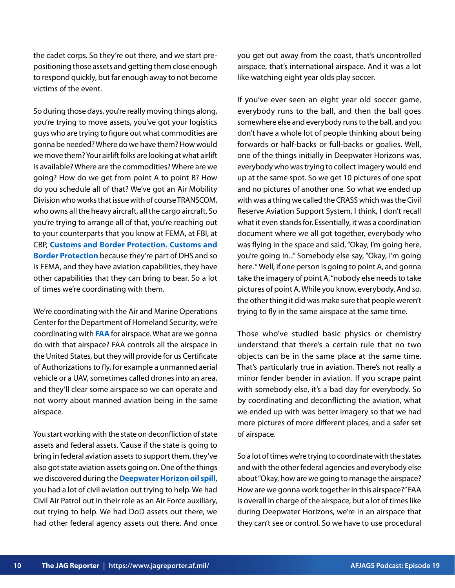the cadet corps. So they're out there, and we start prepositioning those assets and getting them close enough to respond quickly, but far enough away to not become victims of the event.

So during those days, you're really moving things along, you're trying to move assets, you've got your logistics guys who are trying to figure out what commodities are gonna be needed? Where do we have them? How would we move them? Your airlift folks are looking at what airlift is available? Where are the commodities? Where are we going? How do we get from point A to point B? How do you schedule all of that? We've got an Air Mobility Division who works that issue with of course TRANSCOM, who owns all the heavy aircraft, all the cargo aircraft. So you're trying to arrange all of that, you're reaching out to your counterparts that you know at FEMA, at FBI, at CBP, **[Customs and Border Protection. Customs and](https://www.cbp.gov/) [Border Protection](https://www.cbp.gov/)** because they're part of DHS and so is FEMA, and they have aviation capabilities, they have other capabilities that they can bring to bear. So a lot of times we're coordinating with them.

We're coordinating with the Air and Marine Operations Center for the Department of Homeland Security, we're coordinating with **[FAA](https://www.faa.gov/)** for airspace. What are we gonna do with that airspace? FAA controls all the airspace in the United States, but they will provide for us Certificate of Authorizations to fly, for example a unmanned aerial vehicle or a UAV, sometimes called drones into an area, and they'll clear some airspace so we can operate and not worry about manned aviation being in the same airspace.

You start working with the state on deconfliction of state assets and federal assets. 'Cause if the state is going to bring in federal aviation assets to support them, they've also got state aviation assets going on. One of the things we discovered during the **[Deepwater Horizon oil spill](https://www.epa.gov/enforcement/deepwater-horizon-bp-gulf-mexico-oil-spill)**, you had a lot of civil aviation out trying to help. We had Civil Air Patrol out in their role as an Air Force auxiliary, out trying to help. We had DoD assets out there, we had other federal agency assets out there. And once you get out away from the coast, that's uncontrolled airspace, that's international airspace. And it was a lot like watching eight year olds play soccer.

If you've ever seen an eight year old soccer game, everybody runs to the ball, and then the ball goes somewhere else and everybody runs to the ball, and you don't have a whole lot of people thinking about being forwards or half-backs or full-backs or goalies. Well, one of the things initially in Deepwater Horizons was, everybody who was trying to collect imagery would end up at the same spot. So we get 10 pictures of one spot and no pictures of another one. So what we ended up with was a thing we called the CRASS which was the Civil Reserve Aviation Support System, I think, I don't recall what it even stands for. Essentially, it was a coordination document where we all got together, everybody who was flying in the space and said, "Okay, I'm going here, you're going in..." Somebody else say, "Okay, I'm going here. " Well, if one person is going to point A, and gonna take the imagery of point A, "nobody else needs to take pictures of point A. While you know, everybody. And so, the other thing it did was make sure that people weren't trying to fly in the same airspace at the same time.

Those who've studied basic physics or chemistry understand that there's a certain rule that no two objects can be in the same place at the same time. That's particularly true in aviation. There's not really a minor fender bender in aviation. If you scrape paint with somebody else, it's a bad day for everybody. So by coordinating and deconflicting the aviation, what we ended up with was better imagery so that we had more pictures of more different places, and a safer set of airspace.

So a lot of times we're trying to coordinate with the states and with the other federal agencies and everybody else about "Okay, how are we going to manage the airspace? How are we gonna work together in this airspace?" FAA is overall in charge of the airspace, but a lot of times like during Deepwater Horizons, we're in an airspace that they can't see or control. So we have to use procedural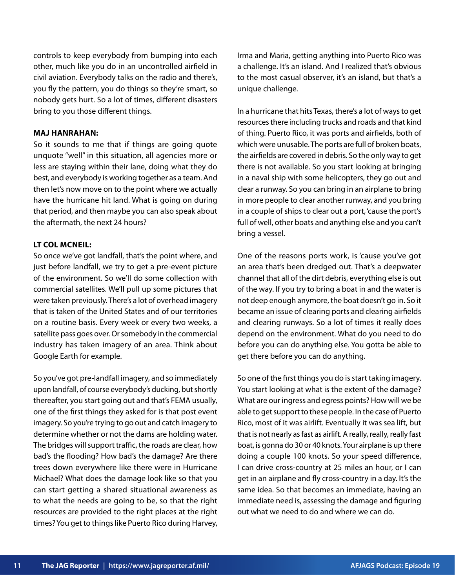controls to keep everybody from bumping into each other, much like you do in an uncontrolled airfield in civil aviation. Everybody talks on the radio and there's, you fly the pattern, you do things so they're smart, so nobody gets hurt. So a lot of times, different disasters bring to you those different things.

## **MAJ HANRAHAN:**

So it sounds to me that if things are going quote unquote "well" in this situation, all agencies more or less are staying within their lane, doing what they do best, and everybody is working together as a team. And then let's now move on to the point where we actually have the hurricane hit land. What is going on during that period, and then maybe you can also speak about the aftermath, the next 24 hours?

## **LT COL MCNEIL:**

So once we've got landfall, that's the point where, and just before landfall, we try to get a pre-event picture of the environment. So we'll do some collection with commercial satellites. We'll pull up some pictures that were taken previously. There's a lot of overhead imagery that is taken of the United States and of our territories on a routine basis. Every week or every two weeks, a satellite pass goes over. Or somebody in the commercial industry has taken imagery of an area. Think about Google Earth for example.

So you've got pre-landfall imagery, and so immediately upon landfall, of course everybody's ducking, but shortly thereafter, you start going out and that's FEMA usually, one of the first things they asked for is that post event imagery. So you're trying to go out and catch imagery to determine whether or not the dams are holding water. The bridges will support traffic, the roads are clear, how bad's the flooding? How bad's the damage? Are there trees down everywhere like there were in Hurricane Michael? What does the damage look like so that you can start getting a shared situational awareness as to what the needs are going to be, so that the right resources are provided to the right places at the right times? You get to things like Puerto Rico during Harvey, Irma and Maria, getting anything into Puerto Rico was a challenge. It's an island. And I realized that's obvious to the most casual observer, it's an island, but that's a unique challenge.

In a hurricane that hits Texas, there's a lot of ways to get resources there including trucks and roads and that kind of thing. Puerto Rico, it was ports and airfields, both of which were unusable. The ports are full of broken boats, the airfields are covered in debris. So the only way to get there is not available. So you start looking at bringing in a naval ship with some helicopters, they go out and clear a runway. So you can bring in an airplane to bring in more people to clear another runway, and you bring in a couple of ships to clear out a port, 'cause the port's full of well, other boats and anything else and you can't bring a vessel.

One of the reasons ports work, is 'cause you've got an area that's been dredged out. That's a deepwater channel that all of the dirt debris, everything else is out of the way. If you try to bring a boat in and the water is not deep enough anymore, the boat doesn't go in. So it became an issue of clearing ports and clearing airfields and clearing runways. So a lot of times it really does depend on the environment. What do you need to do before you can do anything else. You gotta be able to get there before you can do anything.

So one of the first things you do is start taking imagery. You start looking at what is the extent of the damage? What are our ingress and egress points? How will we be able to get support to these people. In the case of Puerto Rico, most of it was airlift. Eventually it was sea lift, but that is not nearly as fast as airlift. A really, really, really fast boat, is gonna do 30 or 40 knots. Your airplane is up there doing a couple 100 knots. So your speed difference, I can drive cross-country at 25 miles an hour, or I can get in an airplane and fly cross-country in a day. It's the same idea. So that becomes an immediate, having an immediate need is, assessing the damage and figuring out what we need to do and where we can do.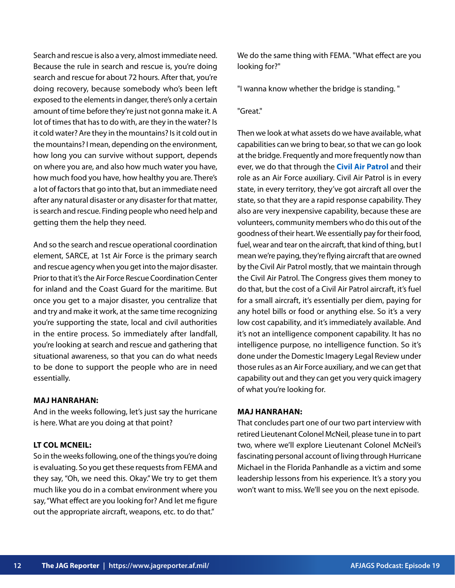Search and rescue is also a very, almost immediate need. Because the rule in search and rescue is, you're doing search and rescue for about 72 hours. After that, you're doing recovery, because somebody who's been left exposed to the elements in danger, there's only a certain amount of time before they're just not gonna make it. A lot of times that has to do with, are they in the water? Is it cold water? Are they in the mountains? Is it cold out in the mountains? I mean, depending on the environment, how long you can survive without support, depends on where you are, and also how much water you have, how much food you have, how healthy you are. There's a lot of factors that go into that, but an immediate need after any natural disaster or any disaster for that matter, is search and rescue. Finding people who need help and getting them the help they need.

And so the search and rescue operational coordination element, SARCE, at 1st Air Force is the primary search and rescue agency when you get into the major disaster. Prior to that it's the Air Force Rescue Coordination Center for inland and the Coast Guard for the maritime. But once you get to a major disaster, you centralize that and try and make it work, at the same time recognizing you're supporting the state, local and civil authorities in the entire process. So immediately after landfall, you're looking at search and rescue and gathering that situational awareness, so that you can do what needs to be done to support the people who are in need essentially.

## **MAJ HANRAHAN:**

And in the weeks following, let's just say the hurricane is here. What are you doing at that point?

## **LT COL MCNEIL:**

So in the weeks following, one of the things you're doing is evaluating. So you get these requests from FEMA and they say, "Oh, we need this. Okay." We try to get them much like you do in a combat environment where you say, "What effect are you looking for? And let me figure out the appropriate aircraft, weapons, etc. to do that."

We do the same thing with FEMA. "What effect are you looking for?"

"I wanna know whether the bridge is standing. "

"Great."

Then we look at what assets do we have available, what capabilities can we bring to bear, so that we can go look at the bridge. Frequently and more frequently now than ever, we do that through the **[Civil Air Patrol](https://www.gocivilairpatrol.com/)** and their role as an Air Force auxiliary. Civil Air Patrol is in every state, in every territory, they've got aircraft all over the state, so that they are a rapid response capability. They also are very inexpensive capability, because these are volunteers, community members who do this out of the goodness of their heart. We essentially pay for their food, fuel, wear and tear on the aircraft, that kind of thing, but I mean we're paying, they're flying aircraft that are owned by the Civil Air Patrol mostly, that we maintain through the Civil Air Patrol. The Congress gives them money to do that, but the cost of a Civil Air Patrol aircraft, it's fuel for a small aircraft, it's essentially per diem, paying for any hotel bills or food or anything else. So it's a very low cost capability, and it's immediately available. And it's not an intelligence component capability. It has no intelligence purpose, no intelligence function. So it's done under the Domestic Imagery Legal Review under those rules as an Air Force auxiliary, and we can get that capability out and they can get you very quick imagery of what you're looking for.

#### **MAJ HANRAHAN:**

That concludes part one of our two part interview with retired Lieutenant Colonel McNeil, please tune in to part two, where we'll explore Lieutenant Colonel McNeil's fascinating personal account of living through Hurricane Michael in the Florida Panhandle as a victim and some leadership lessons from his experience. It's a story you won't want to miss. We'll see you on the next episode.